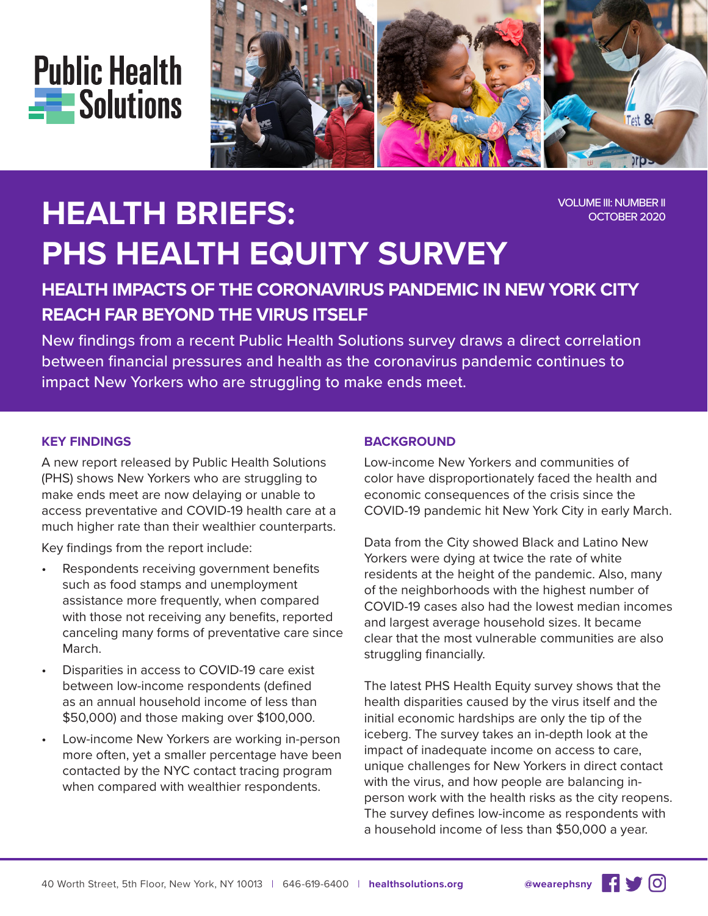



# **HEALTH BRIEFS: PHS HEALTH EQUITY SURVEY**

#### VOLUME III: NUMBER II OCTOBER 2020

## **HEALTH IMPACTS OF THE CORONAVIRUS PANDEMIC IN NEW YORK CITY REACH FAR BEYOND THE VIRUS ITSELF**

New findings from a recent Public Health Solutions survey draws a direct correlation between financial pressures and health as the coronavirus pandemic continues to impact New Yorkers who are struggling to make ends meet.

#### **KEY FINDINGS**

A new report released by Public Health Solutions (PHS) shows New Yorkers who are struggling to make ends meet are now delaying or unable to access preventative and COVID-19 health care at a much higher rate than their wealthier counterparts.

Key findings from the report include:

- Respondents receiving government benefits such as food stamps and unemployment assistance more frequently, when compared with those not receiving any benefits, reported canceling many forms of preventative care since March.
- Disparities in access to COVID-19 care exist between low-income respondents (defined as an annual household income of less than \$50,000) and those making over \$100,000.
- Low-income New Yorkers are working in-person more often, yet a smaller percentage have been contacted by the NYC contact tracing program when compared with wealthier respondents.

#### **BACKGROUND**

Low-income New Yorkers and communities of color have disproportionately faced the health and economic consequences of the crisis since the COVID-19 pandemic hit New York City in early March.

Data from the City showed Black and Latino New Yorkers were dying at twice the rate of white residents at the height of the pandemic. Also, many of the neighborhoods with the highest number of COVID-19 cases also had the lowest median incomes and largest average household sizes. It became clear that the most vulnerable communities are also struggling financially.

The latest PHS Health Equity survey shows that the health disparities caused by the virus itself and the initial economic hardships are only the tip of the iceberg. The survey takes an in-depth look at the impact of inadequate income on access to care, unique challenges for New Yorkers in direct contact with the virus, and how people are balancing inperson work with the health risks as the city reopens. The survey defines low-income as respondents with a household income of less than \$50,000 a year.

 $\overline{)}$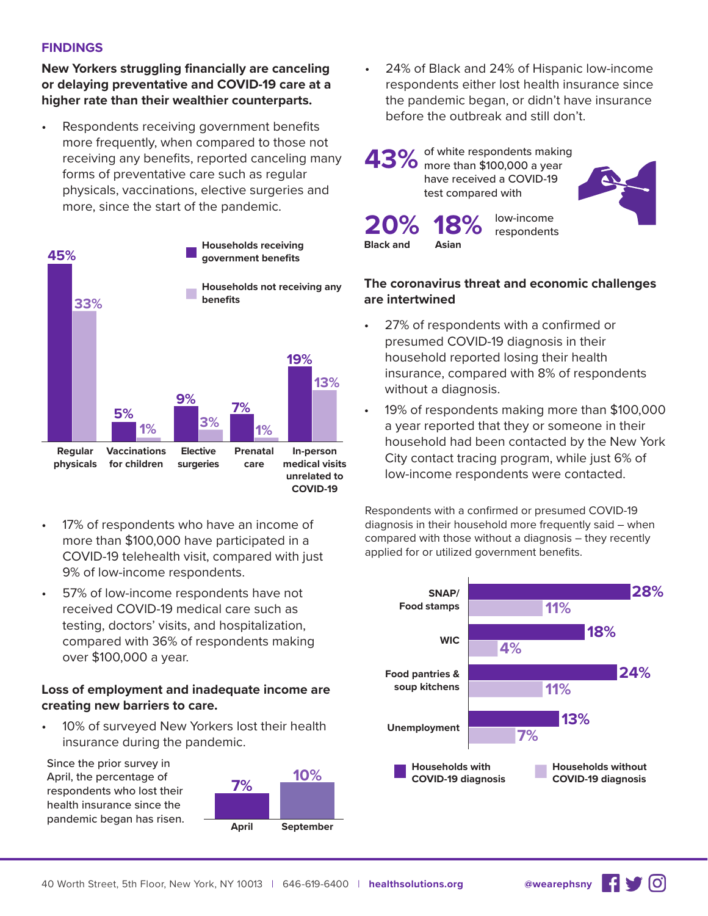#### **FINDINGS**

**New Yorkers struggling financially are canceling or delaying preventative and COVID-19 care at a higher rate than their wealthier counterparts.**

Respondents receiving government benefits more frequently, when compared to those not receiving any benefits, reported canceling many forms of preventative care such as regular physicals, vaccinations, elective surgeries and more, since the start of the pandemic.



- 17% of respondents who have an income of more than \$100,000 have participated in a COVID-19 telehealth visit, compared with just 9% of low-income respondents.
- 57% of low-income respondents have not received COVID-19 medical care such as testing, doctors' visits, and hospitalization, compared with 36% of respondents making over \$100,000 a year.

#### **Loss of employment and inadequate income are creating new barriers to care.**

• 10% of surveyed New Yorkers lost their health insurance during the pandemic.

Since the prior survey in April, the percentage of respondents who lost their health insurance since the pandemic began has risen.



• 24% of Black and 24% of Hispanic low-income respondents either lost health insurance since the pandemic began, or didn't have insurance before the outbreak and still don't.



**Black and Asian**

#### **The coronavirus threat and economic challenges are intertwined**

- 27% of respondents with a confirmed or presumed COVID-19 diagnosis in their household reported losing their health insurance, compared with 8% of respondents without a diagnosis.
- 19% of respondents making more than \$100,000 a year reported that they or someone in their household had been contacted by the New York City contact tracing program, while just 6% of low-income respondents were contacted.

Respondents with a confirmed or presumed COVID-19 diagnosis in their household more frequently said – when compared with those without a diagnosis – they recently applied for or utilized government benefits.



<u>ଟ</u>